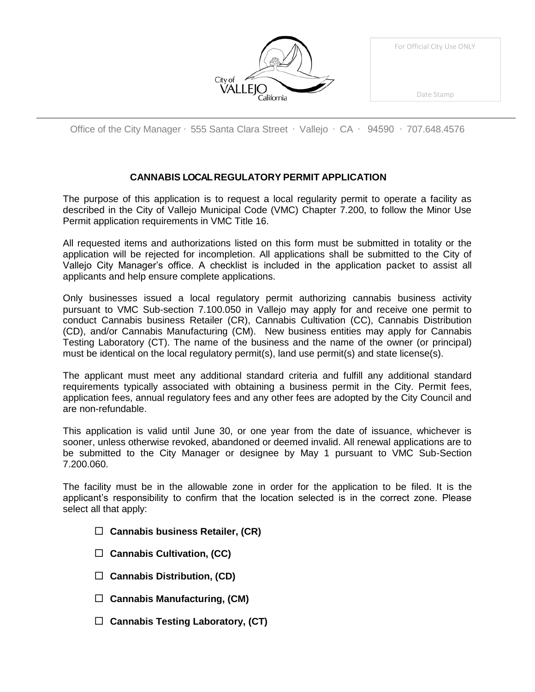| For Official City Use ONLY |
|----------------------------|
|                            |
|                            |
| Date Stamp                 |

Office of the City Manager ∙ 555 Santa Clara Street ∙ Vallejo ∙ CA ∙ 94590 ∙ 707.648.4576

`alifornia

City of

valleio

# **CANNABIS LOCAL REGULATORY PERMIT APPLICATION**

The purpose of this application is to request a local regularity permit to operate a facility as described in the City of Vallejo Municipal Code (VMC) Chapter 7.200, to follow the Minor Use Permit application requirements in VMC Title 16.

All requested items and authorizations listed on this form must be submitted in totality or the application will be rejected for incompletion. All applications shall be submitted to the City of Vallejo City Manager's office. A checklist is included in the application packet to assist all applicants and help ensure complete applications.

Only businesses issued a local regulatory permit authorizing cannabis business activity pursuant to VMC Sub-section 7.100.050 in Vallejo may apply for and receive one permit to conduct Cannabis business Retailer (CR), Cannabis Cultivation (CC), Cannabis Distribution (CD), and/or Cannabis Manufacturing (CM). New business entities may apply for Cannabis Testing Laboratory (CT). The name of the business and the name of the owner (or principal) must be identical on the local regulatory permit(s), land use permit(s) and state license(s).

The applicant must meet any additional standard criteria and fulfill any additional standard requirements typically associated with obtaining a business permit in the City. Permit fees, application fees, annual regulatory fees and any other fees are adopted by the City Council and are non-refundable.

This application is valid until June 30, or one year from the date of issuance, whichever is sooner, unless otherwise revoked, abandoned or deemed invalid. All renewal applications are to be submitted to the City Manager or designee by May 1 pursuant to VMC Sub-Section 7.200.060.

The facility must be in the allowable zone in order for the application to be filed. It is the applicant's responsibility to confirm that the location selected is in the correct zone. Please select all that apply:

- **Cannabis business Retailer, (CR)**
- **Cannabis Cultivation, (CC)**
- **Cannabis Distribution, (CD)**
- **Cannabis Manufacturing, (CM)**
- **Cannabis Testing Laboratory, (CT)**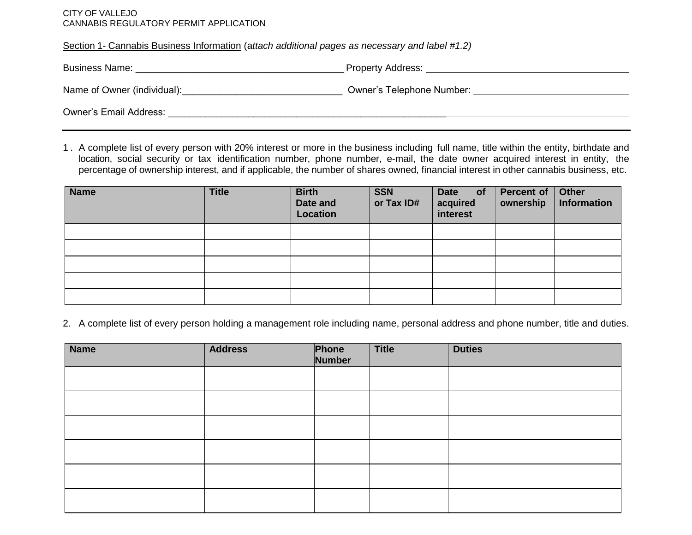#### CITY OF VALLEJO CANNABIS REGULATORY PERMIT APPLICATION

Section 1- Cannabis Business Information (a*ttach additional pages as necessary and label #1.2)*

| <b>Business Name:</b>         | Property Address:                |
|-------------------------------|----------------------------------|
| Name of Owner (individual):   | <b>Owner's Telephone Number:</b> |
| <b>Owner's Email Address:</b> |                                  |

1 . A complete list of every person with 20% interest or more in the business including full name, title within the entity, birthdate and location, social security or tax identification number, phone number, e-mail, the date owner acquired interest in entity, the percentage of ownership interest, and if applicable, the number of shares owned, financial interest in other cannabis business, etc.

| <b>Name</b> | <b>Title</b> | <b>Birth</b><br>Date and<br>Location | <b>SSN</b><br>or Tax ID# | Date of<br>acquired<br>interest | <b>Percent of</b><br>ownership | Other<br>Information |
|-------------|--------------|--------------------------------------|--------------------------|---------------------------------|--------------------------------|----------------------|
|             |              |                                      |                          |                                 |                                |                      |
|             |              |                                      |                          |                                 |                                |                      |
|             |              |                                      |                          |                                 |                                |                      |
|             |              |                                      |                          |                                 |                                |                      |
|             |              |                                      |                          |                                 |                                |                      |

2. A complete list of every person holding a management role including name, personal address and phone number, title and duties.

| <b>Name</b> | <b>Address</b> | Phone<br>Number | <b>Title</b> | <b>Duties</b> |
|-------------|----------------|-----------------|--------------|---------------|
|             |                |                 |              |               |
|             |                |                 |              |               |
|             |                |                 |              |               |
|             |                |                 |              |               |
|             |                |                 |              |               |
|             |                |                 |              |               |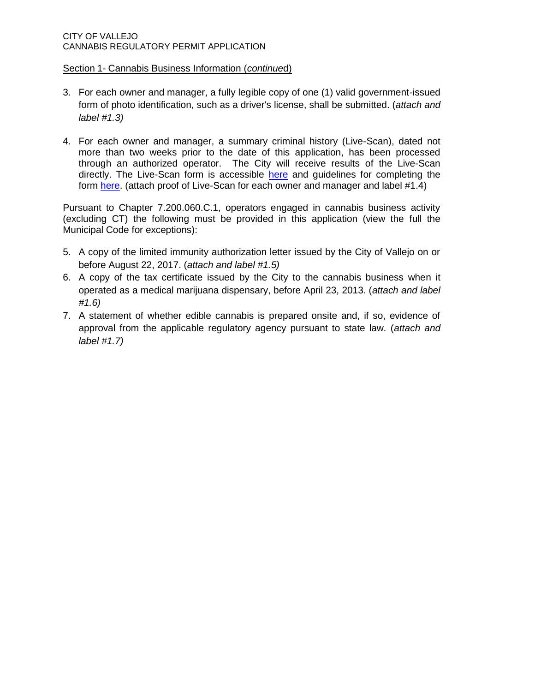### Section 1- Cannabis Business Information (*continue*d)

- 3. For each owner and manager, a fully legible copy of one (1) valid government-issued form of photo identification, such as a driver's license, shall be submitted. (*attach and label #1.3)*
- 4. For each owner and manager, a summary criminal history (Live-Scan), dated not more than two weeks prior to the date of this application, has been processed through an authorized operator. The City will receive results of the Live-Scan directly. The Live-Scan form is accessible [here](http://www.cityofvallejo.net/common/pages/DisplayFile.aspx?itemId=408533) and guidelines for completing the form [here.](http://ag.ca.gov/fingerprints/forms/BCII_8016_8016A_instructions.pdf) (attach proof of Live-Scan for each owner and manager and label #1.4)

Pursuant to Chapter 7.200.060.C.1, operators engaged in cannabis business activity (excluding CT) the following must be provided in this application (view the full the Municipal Code for exceptions):

- 5. A copy of the limited immunity authorization letter issued by the City of Vallejo on or before August 22, 2017. (*attach and label #1.5)*
- 6. A copy of the tax certificate issued by the City to the cannabis business when it operated as a medical marijuana dispensary, before April 23, 2013. (*attach and label #1.6)*
- 7. A statement of whether edible cannabis is prepared onsite and, if so, evidence of approval from the applicable regulatory agency pursuant to state law. (*attach and label #1.7)*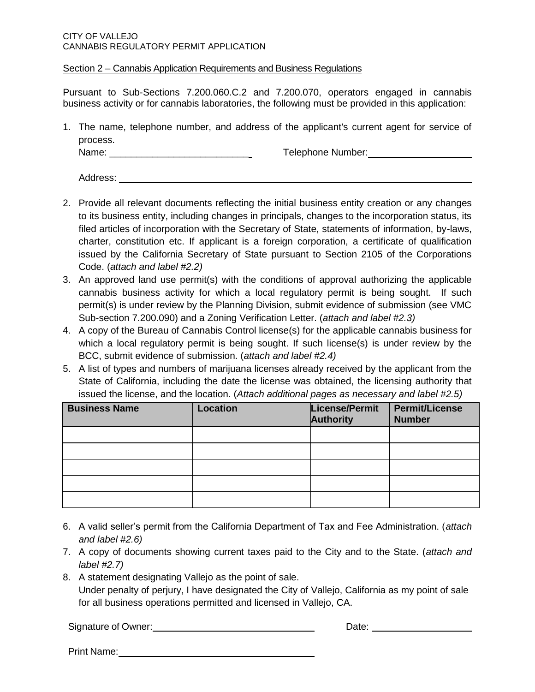### CITY OF VALLEJO CANNABIS REGULATORY PERMIT APPLICATION

### Section 2 – Cannabis Application Requirements and Business Regulations

Pursuant to Sub-Sections 7.200.060.C.2 and 7.200.070, operators engaged in cannabis business activity or for cannabis laboratories, the following must be provided in this application:

1. The name, telephone number, and address of the applicant's current agent for service of process.

Name: \_\_\_\_\_\_\_\_\_\_\_\_\_\_\_\_\_\_\_\_\_\_\_\_\_\_ Telephone Number:

Address:

- 2. Provide all relevant documents reflecting the initial business entity creation or any changes to its business entity, including changes in principals, changes to the incorporation status, its filed articles of incorporation with the Secretary of State, statements of information, by-laws, charter, constitution etc. If applicant is a foreign corporation, a certificate of qualification issued by the California Secretary of State pursuant to Section 2105 of the Corporations Code. (*attach and label #2.2)*
- 3. An approved land use permit(s) with the conditions of approval authorizing the applicable cannabis business activity for which a local regulatory permit is being sought. If such permit(s) is under review by the Planning Division, submit evidence of submission (see VMC Sub-section 7.200.090) and a Zoning Verification Letter. (*attach and label #2.3)*
- 4. A copy of the Bureau of Cannabis Control license(s) for the applicable cannabis business for which a local regulatory permit is being sought. If such license(s) is under review by the BCC, submit evidence of submission. (*attach and label #2.4)*
- 5. A list of types and numbers of marijuana licenses already received by the applicant from the State of California, including the date the license was obtained, the licensing authority that issued the license, and the location. (*Attach additional pages as necessary and label #2.5)*

| <b>Business Name</b> | <b>Location</b> | License/Permit<br>Authority | <b>Permit/License</b><br><b>Number</b> |
|----------------------|-----------------|-----------------------------|----------------------------------------|
|                      |                 |                             |                                        |
|                      |                 |                             |                                        |
|                      |                 |                             |                                        |
|                      |                 |                             |                                        |
|                      |                 |                             |                                        |

- 6. A valid seller's permit from the California Department of Tax and Fee Administration. (*attach and label #2.6)*
- 7. A copy of documents showing current taxes paid to the City and to the State. (*attach and label #2.7)*
- 8. A statement designating Vallejo as the point of sale. Under penalty of perjury, I have designated the City of Vallejo, California as my point of sale for all business operations permitted and licensed in Vallejo, CA.

Signature of Owner:  $D = 0$  Date:

Print Name: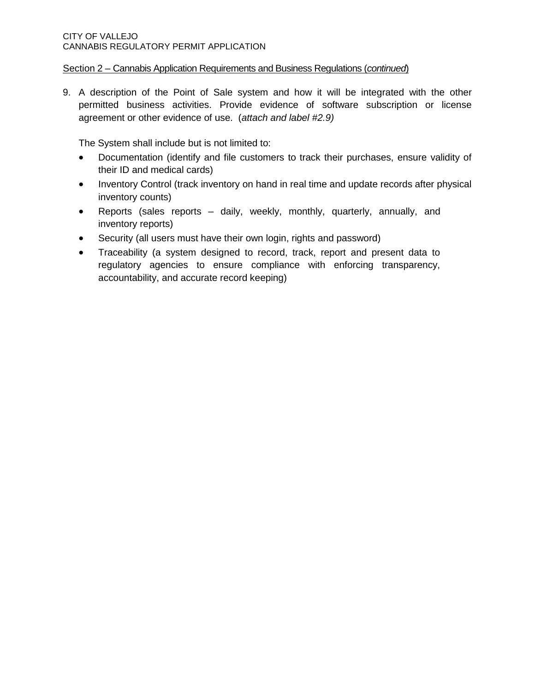## Section 2 – Cannabis Application Requirements and Business Regulations (*continued*)

9. A description of the Point of Sale system and how it will be integrated with the other permitted business activities. Provide evidence of software subscription or license agreement or other evidence of use. (*attach and label #2.9)*

The System shall include but is not limited to:

- Documentation (identify and file customers to track their purchases, ensure validity of their ID and medical cards)
- Inventory Control (track inventory on hand in real time and update records after physical inventory counts)
- Reports (sales reports daily, weekly, monthly, quarterly, annually, and inventory reports)
- Security (all users must have their own login, rights and password)
- Traceability (a system designed to record, track, report and present data to regulatory agencies to ensure compliance with enforcing transparency, accountability, and accurate record keeping)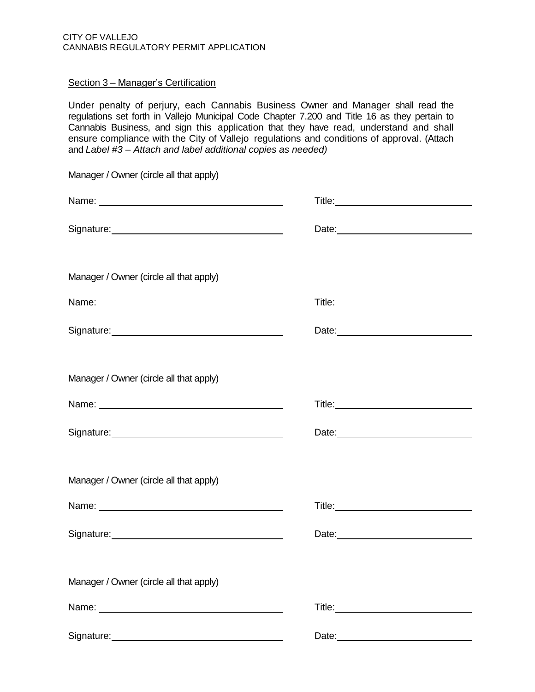### Section 3 – Manager's Certification

Under penalty of perjury, each Cannabis Business Owner and Manager shall read the regulations set forth in Vallejo Municipal Code Chapter 7.200 and Title 16 as they pertain to Cannabis Business, and sign this application that they have read, understand and shall ensure compliance with the City of Vallejo regulations and conditions of approval. (Attach and *Label #3 – Attach and label additional copies as needed)*

| Manager / Owner (circle all that apply)                                                                                                                                                                                       |                                          |
|-------------------------------------------------------------------------------------------------------------------------------------------------------------------------------------------------------------------------------|------------------------------------------|
| Name: Name:                                                                                                                                                                                                                   |                                          |
|                                                                                                                                                                                                                               |                                          |
| Manager / Owner (circle all that apply)                                                                                                                                                                                       |                                          |
|                                                                                                                                                                                                                               | Title: <u>www.community.com/induct</u> / |
|                                                                                                                                                                                                                               |                                          |
| Manager / Owner (circle all that apply)                                                                                                                                                                                       |                                          |
|                                                                                                                                                                                                                               |                                          |
|                                                                                                                                                                                                                               |                                          |
| Manager / Owner (circle all that apply)                                                                                                                                                                                       |                                          |
| Name: 2008 2009 2010 2021 2022 2023 2024 2022 2022 2023 2024 2022 2023 2024 2022 2023 2024 2022 2023 2024 2022                                                                                                                | Title: <u>www.community.com/induct</u> / |
| Signature: <u>Contract Communication</u>                                                                                                                                                                                      |                                          |
| Manager / Owner (circle all that apply)                                                                                                                                                                                       |                                          |
| Name: Name: Name: Name: Name: Name: Name: Name: Name: Name: Name: Name: Name: Name: Name: Name: Name: Name: Name: Name: Name: Name: Name: Name: Name: Name: Name: Name: Name: Name: Name: Name: Name: Name: Name: Name: Name: |                                          |
| Signature: Signature:                                                                                                                                                                                                         | Date: <u>______________</u> __________   |